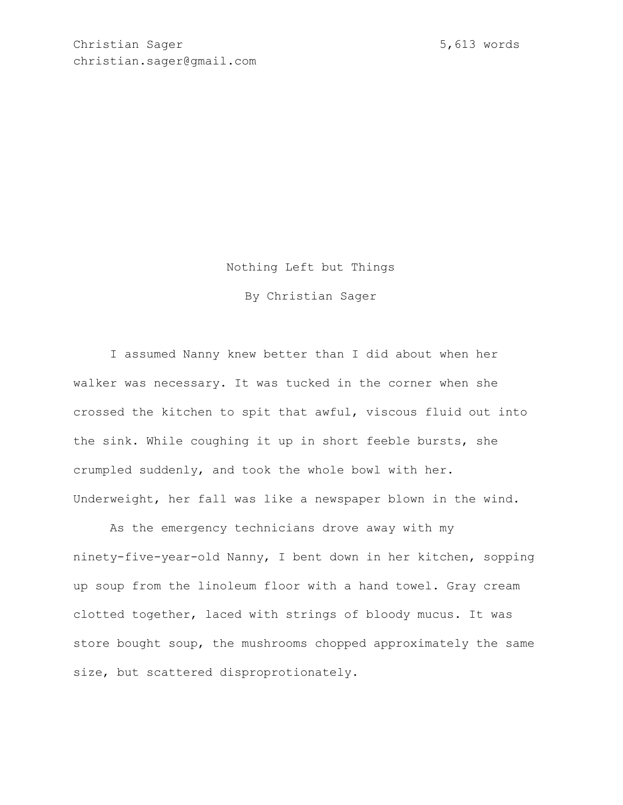Nothing Left but Things

By Christian Sager

I assumed Nanny knew better than I did about when her walker was necessary. It was tucked in the corner when she crossed the kitchen to spit that awful, viscous fluid out into the sink. While coughing it up in short feeble bursts, she crumpled suddenly, and took the whole bowl with her. Underweight, her fall was like a newspaper blown in the wind.

As the emergency technicians drove away with my ninety-five-year-old Nanny, I bent down in her kitchen, sopping up soup from the linoleum floor with a hand towel. Gray cream clotted together, laced with strings of bloody mucus. It was store bought soup, the mushrooms chopped approximately the same size, but scattered disproprotionately.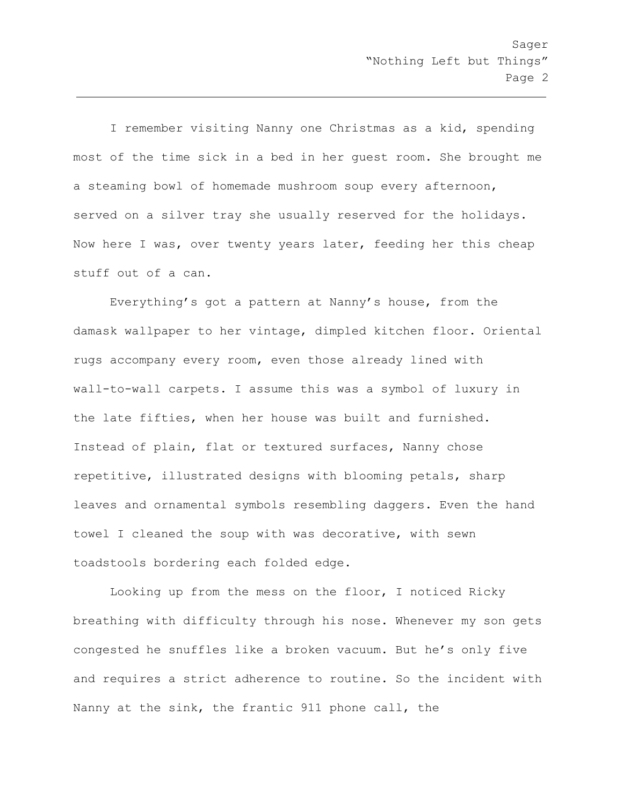I remember visiting Nanny one Christmas as a kid, spending most of the time sick in a bed in her guest room. She brought me a steaming bowl of homemade mushroom soup every afternoon, served on a silver tray she usually reserved for the holidays. Now here I was, over twenty years later, feeding her this cheap stuff out of a can.

Everything's got a pattern at Nanny's house, from the damask wallpaper to her vintage, dimpled kitchen floor. Oriental rugs accompany every room, even those already lined with wall-to-wall carpets. I assume this was a symbol of luxury in the late fifties, when her house was built and furnished. Instead of plain, flat or textured surfaces, Nanny chose repetitive, illustrated designs with blooming petals, sharp leaves and ornamental symbols resembling daggers. Even the hand towel I cleaned the soup with was decorative, with sewn toadstools bordering each folded edge.

Looking up from the mess on the floor, I noticed Ricky breathing with difficulty through his nose. Whenever my son gets congested he snuffles like a broken vacuum. But he's only five and requires a strict adherence to routine. So the incident with Nanny at the sink, the frantic 911 phone call, the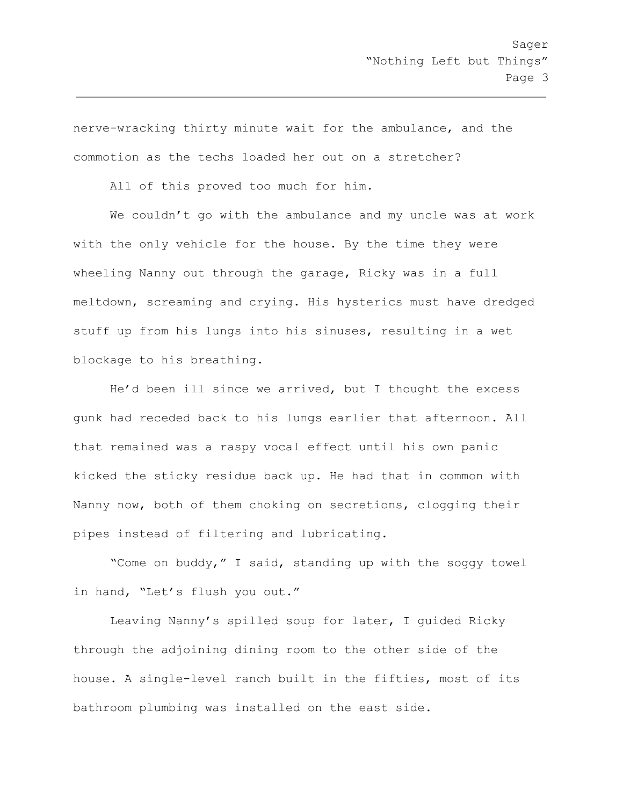nerve-wracking thirty minute wait for the ambulance, and the commotion as the techs loaded her out on a stretcher?

All of this proved too much for him.

We couldn't go with the ambulance and my uncle was at work with the only vehicle for the house. By the time they were wheeling Nanny out through the garage, Ricky was in a full meltdown, screaming and crying. His hysterics must have dredged stuff up from his lungs into his sinuses, resulting in a wet blockage to his breathing.

He'd been ill since we arrived, but I thought the excess gunk had receded back to his lungs earlier that afternoon. All that remained was a raspy vocal effect until his own panic kicked the sticky residue back up. He had that in common with Nanny now, both of them choking on secretions, clogging their pipes instead of filtering and lubricating.

"Come on buddy," I said, standing up with the soggy towel in hand, "Let's flush you out."

Leaving Nanny's spilled soup for later, I guided Ricky through the adjoining dining room to the other side of the house. A single-level ranch built in the fifties, most of its bathroom plumbing was installed on the east side.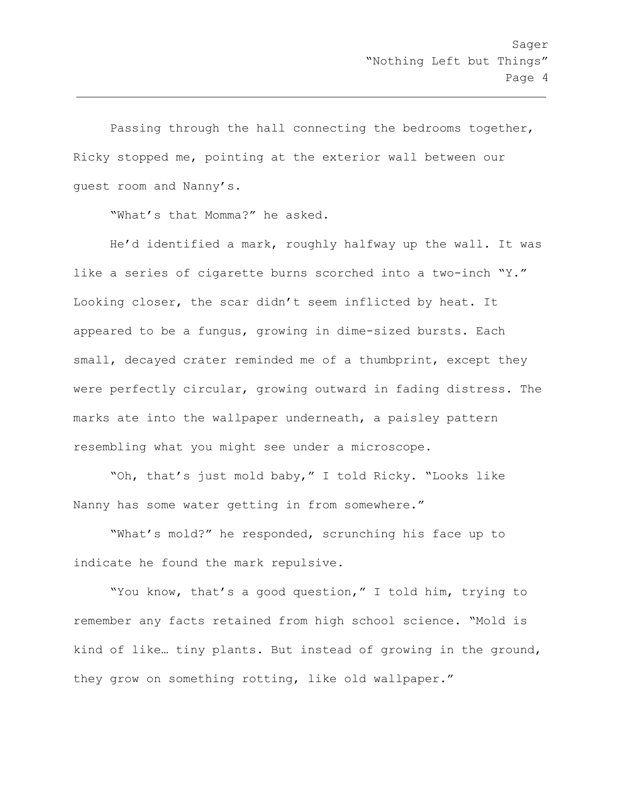Passing through the hall connecting the bedrooms together, Ricky stopped me, pointing at the exterior wall between our guest room and Nanny's.

"What's that Momma?" he asked.

He'd identified a mark, roughly halfway up the wall. It was like a series of cigarette burns scorched into a two-inch "Y." Looking closer, the scar didn't seem inflicted by heat. It appeared to be a fungus, growing in dime-sized bursts. Each small, decayed crater reminded me of a thumbprint, except they were perfectly circular, growing outward in fading distress. The marks ate into the wallpaper underneath, a paisley pattern resembling what you might see under a microscope.

"Oh, that's just mold baby," I told Ricky. "Looks like Nanny has some water getting in from somewhere."

"What's mold?" he responded, scrunching his face up to indicate he found the mark repulsive.

"You know, that's a good question," I told him, trying to remember any facts retained from high school science. "Mold is kind of like… tiny plants. But instead of growing in the ground, they grow on something rotting, like old wallpaper."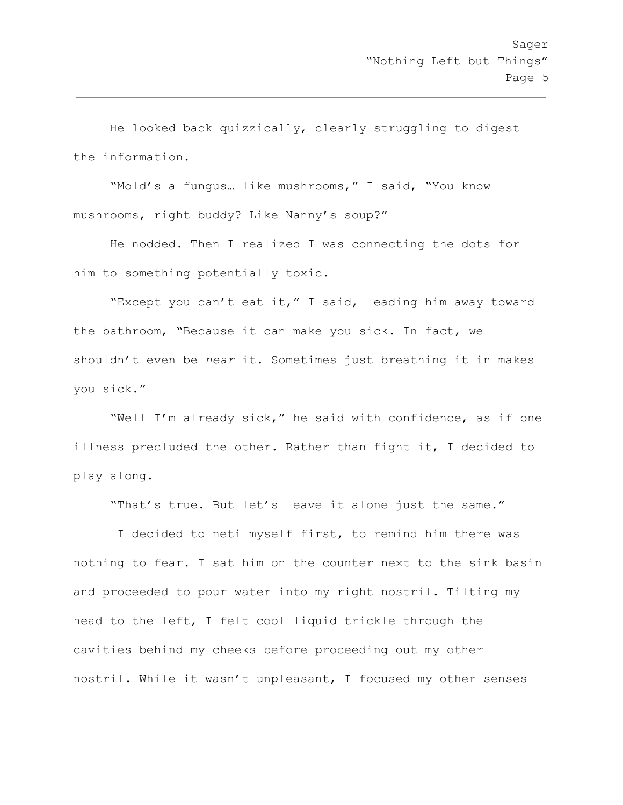He looked back quizzically, clearly struggling to digest the information.

"Mold's a fungus… like mushrooms," I said, "You know mushrooms, right buddy? Like Nanny's soup?"

He nodded. Then I realized I was connecting the dots for him to something potentially toxic.

"Except you can't eat it," I said, leading him away toward the bathroom, "Because it can make you sick. In fact, we shouldn't even be *near* it. Sometimes just breathing it in makes you sick."

"Well I'm already sick," he said with confidence, as if one illness precluded the other. Rather than fight it, I decided to play along.

"That's true. But let's leave it alone just the same."

 I decided to neti myself first, to remind him there was nothing to fear. I sat him on the counter next to the sink basin and proceeded to pour water into my right nostril. Tilting my head to the left, I felt cool liquid trickle through the cavities behind my cheeks before proceeding out my other nostril. While it wasn't unpleasant, I focused my other senses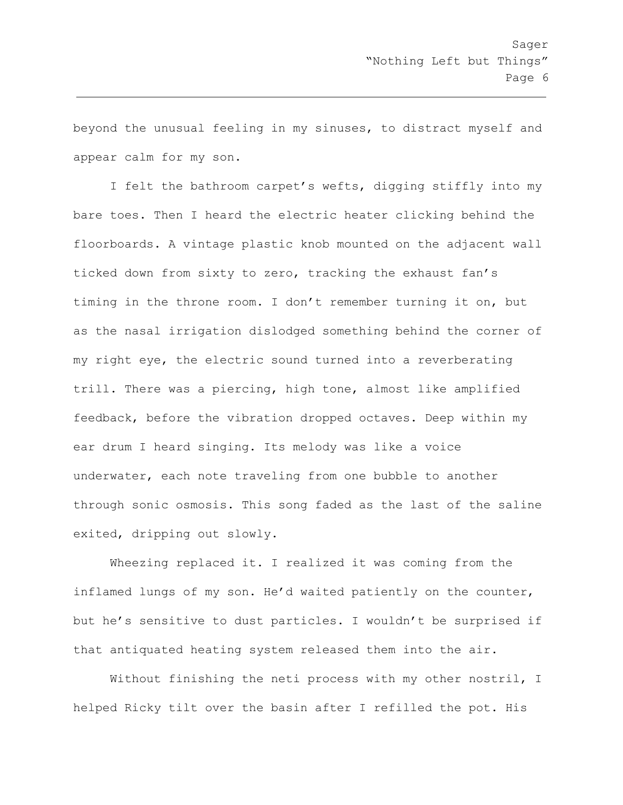beyond the unusual feeling in my sinuses, to distract myself and appear calm for my son.

I felt the bathroom carpet's wefts, digging stiffly into my bare toes. Then I heard the electric heater clicking behind the floorboards. A vintage plastic knob mounted on the adjacent wall ticked down from sixty to zero, tracking the exhaust fan's timing in the throne room. I don't remember turning it on, but as the nasal irrigation dislodged something behind the corner of my right eye, the electric sound turned into a reverberating trill. There was a piercing, high tone, almost like amplified feedback, before the vibration dropped octaves. Deep within my ear drum I heard singing. Its melody was like a voice underwater, each note traveling from one bubble to another through sonic osmosis. This song faded as the last of the saline exited, dripping out slowly.

Wheezing replaced it. I realized it was coming from the inflamed lungs of my son. He'd waited patiently on the counter, but he's sensitive to dust particles. I wouldn't be surprised if that antiquated heating system released them into the air.

Without finishing the neti process with my other nostril, I helped Ricky tilt over the basin after I refilled the pot. His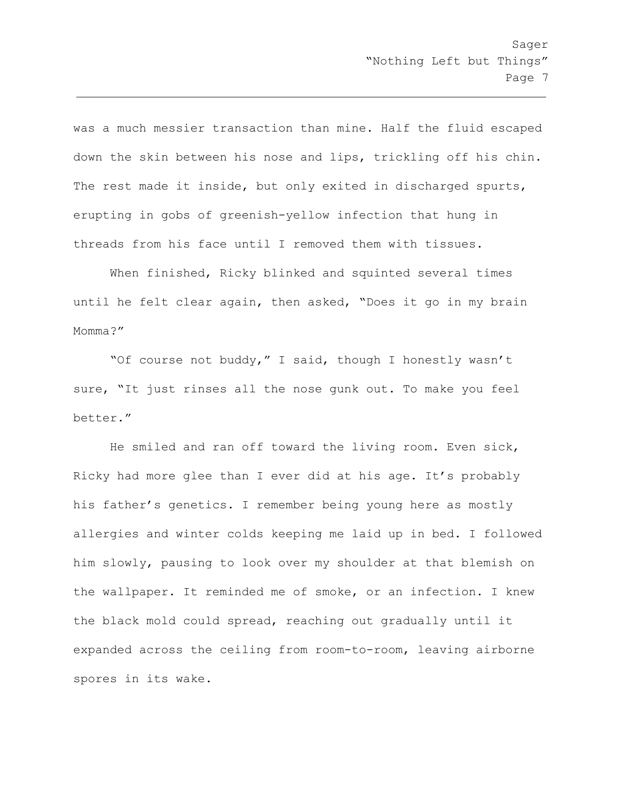was a much messier transaction than mine. Half the fluid escaped down the skin between his nose and lips, trickling off his chin. The rest made it inside, but only exited in discharged spurts, erupting in gobs of greenish-yellow infection that hung in threads from his face until I removed them with tissues.

When finished, Ricky blinked and squinted several times until he felt clear again, then asked, "Does it go in my brain Momma?"

"Of course not buddy," I said, though I honestly wasn't sure, "It just rinses all the nose gunk out. To make you feel better."

He smiled and ran off toward the living room. Even sick, Ricky had more glee than I ever did at his age. It's probably his father's genetics. I remember being young here as mostly allergies and winter colds keeping me laid up in bed. I followed him slowly, pausing to look over my shoulder at that blemish on the wallpaper. It reminded me of smoke, or an infection. I knew the black mold could spread, reaching out gradually until it expanded across the ceiling from room-to-room, leaving airborne spores in its wake.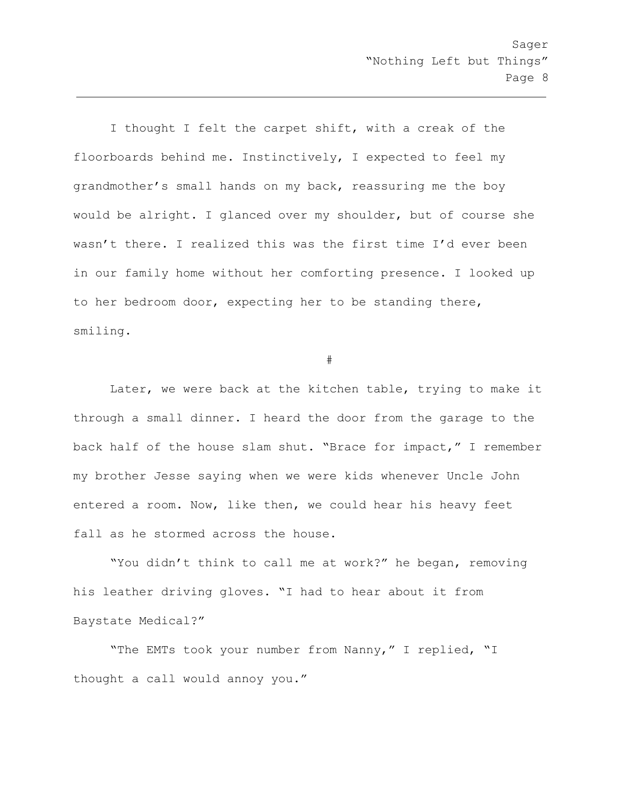I thought I felt the carpet shift, with a creak of the floorboards behind me. Instinctively, I expected to feel my grandmother's small hands on my back, reassuring me the boy would be alright. I glanced over my shoulder, but of course she wasn't there. I realized this was the first time I'd ever been in our family home without her comforting presence. I looked up to her bedroom door, expecting her to be standing there, smiling.

#

Later, we were back at the kitchen table, trying to make it through a small dinner. I heard the door from the garage to the back half of the house slam shut. "Brace for impact," I remember my brother Jesse saying when we were kids whenever Uncle John entered a room. Now, like then, we could hear his heavy feet fall as he stormed across the house.

"You didn't think to call me at work?" he began, removing his leather driving gloves. "I had to hear about it from Baystate Medical?"

"The EMTs took your number from Nanny," I replied, "I thought a call would annoy you."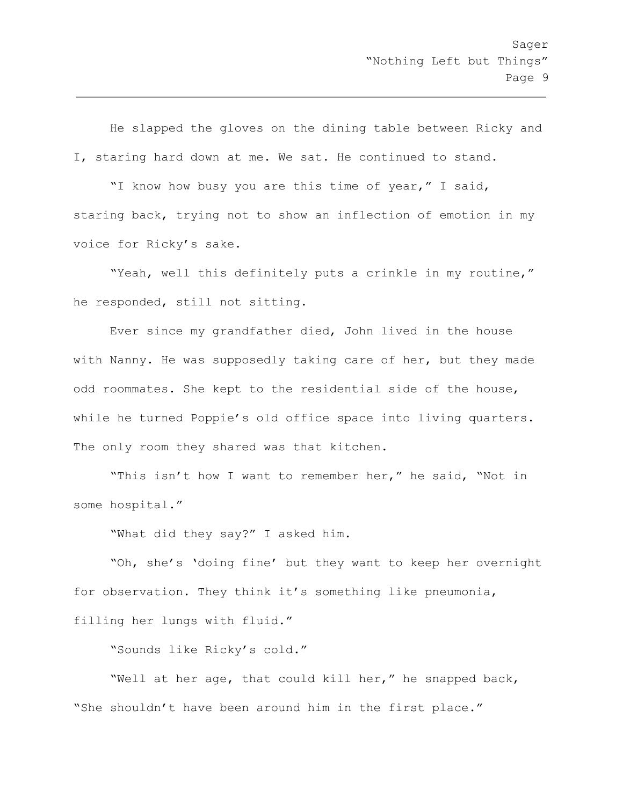He slapped the gloves on the dining table between Ricky and I, staring hard down at me. We sat. He continued to stand.

"I know how busy you are this time of year," I said, staring back, trying not to show an inflection of emotion in my voice for Ricky's sake.

"Yeah, well this definitely puts a crinkle in my routine," he responded, still not sitting.

Ever since my grandfather died, John lived in the house with Nanny. He was supposedly taking care of her, but they made odd roommates. She kept to the residential side of the house, while he turned Poppie's old office space into living quarters. The only room they shared was that kitchen.

"This isn't how I want to remember her," he said, "Not in some hospital."

"What did they say?" I asked him.

"Oh, she's 'doing fine' but they want to keep her overnight for observation. They think it's something like pneumonia,

filling her lungs with fluid."

"Sounds like Ricky's cold."

"Well at her age, that could kill her," he snapped back, "She shouldn't have been around him in the first place."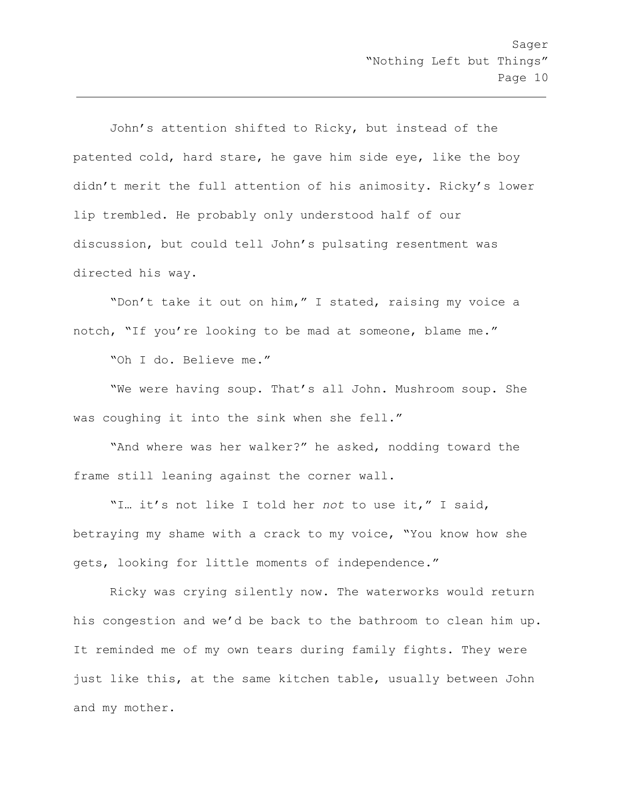John's attention shifted to Ricky, but instead of the patented cold, hard stare, he gave him side eye, like the boy didn't merit the full attention of his animosity. Ricky's lower lip trembled. He probably only understood half of our discussion, but could tell John's pulsating resentment was directed his way.

"Don't take it out on him," I stated, raising my voice a notch, "If you're looking to be mad at someone, blame me."

"Oh I do. Believe me."

"We were having soup. That's all John. Mushroom soup. She was coughing it into the sink when she fell."

"And where was her walker?" he asked, nodding toward the frame still leaning against the corner wall.

"I… it's not like I told her *not* to use it," I said, betraying my shame with a crack to my voice, "You know how she gets, looking for little moments of independence."

Ricky was crying silently now. The waterworks would return his congestion and we'd be back to the bathroom to clean him up. It reminded me of my own tears during family fights. They were just like this, at the same kitchen table, usually between John and my mother.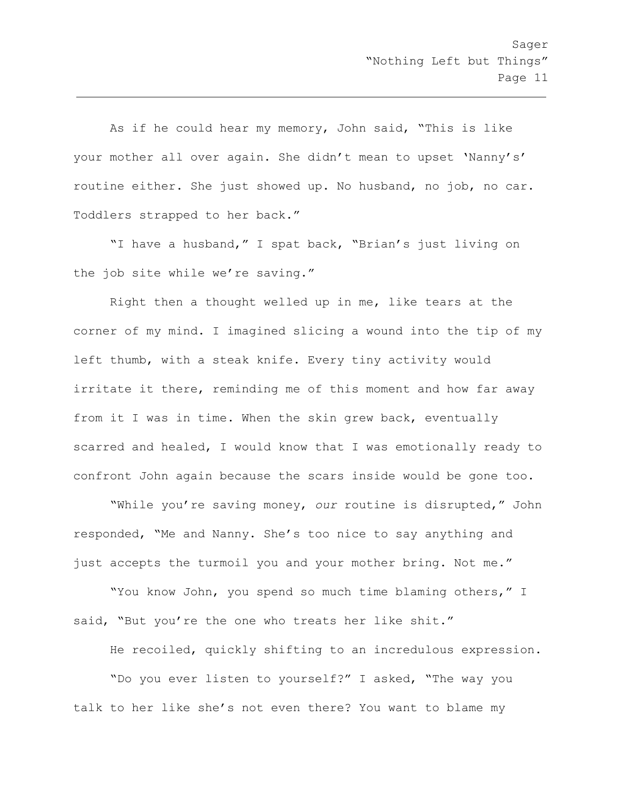As if he could hear my memory, John said, "This is like your mother all over again. She didn't mean to upset 'Nanny's' routine either. She just showed up. No husband, no job, no car. Toddlers strapped to her back."

"I have a husband," I spat back, "Brian's just living on the job site while we're saving."

Right then a thought welled up in me, like tears at the corner of my mind. I imagined slicing a wound into the tip of my left thumb, with a steak knife. Every tiny activity would irritate it there, reminding me of this moment and how far away from it I was in time. When the skin grew back, eventually scarred and healed, I would know that I was emotionally ready to confront John again because the scars inside would be gone too.

"While you're saving money, *our* routine is disrupted," John responded, "Me and Nanny. She's too nice to say anything and just accepts the turmoil you and your mother bring. Not me."

"You know John, you spend so much time blaming others," I said, "But you're the one who treats her like shit."

He recoiled, quickly shifting to an incredulous expression.

"Do you ever listen to yourself?" I asked, "The way you talk to her like she's not even there? You want to blame my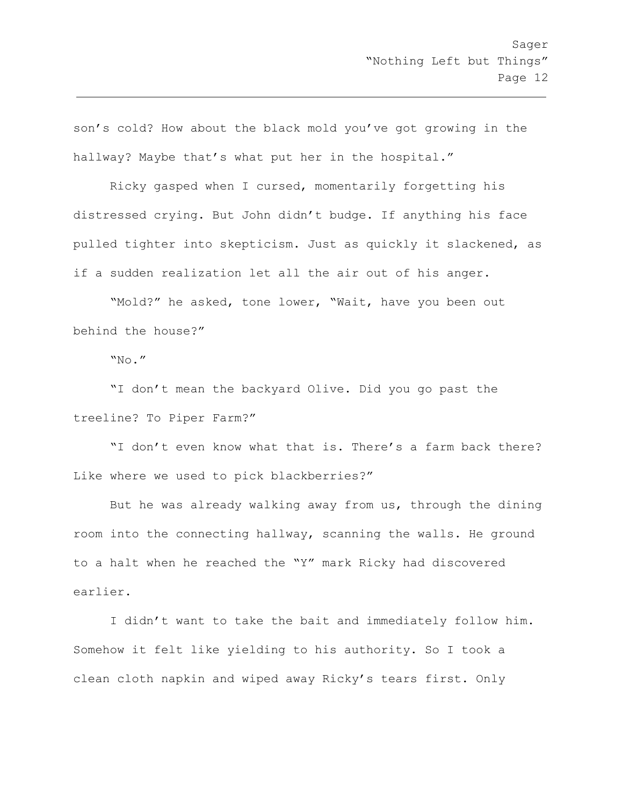son's cold? How about the black mold you've got growing in the hallway? Maybe that's what put her in the hospital."

Ricky gasped when I cursed, momentarily forgetting his distressed crying. But John didn't budge. If anything his face pulled tighter into skepticism. Just as quickly it slackened, as if a sudden realization let all the air out of his anger.

"Mold?" he asked, tone lower, "Wait, have you been out behind the house?"

"No."

"I don't mean the backyard Olive. Did you go past the treeline? To Piper Farm?"

"I don't even know what that is. There's a farm back there? Like where we used to pick blackberries?"

But he was already walking away from us, through the dining room into the connecting hallway, scanning the walls. He ground to a halt when he reached the "Y" mark Ricky had discovered earlier.

I didn't want to take the bait and immediately follow him. Somehow it felt like yielding to his authority. So I took a clean cloth napkin and wiped away Ricky's tears first. Only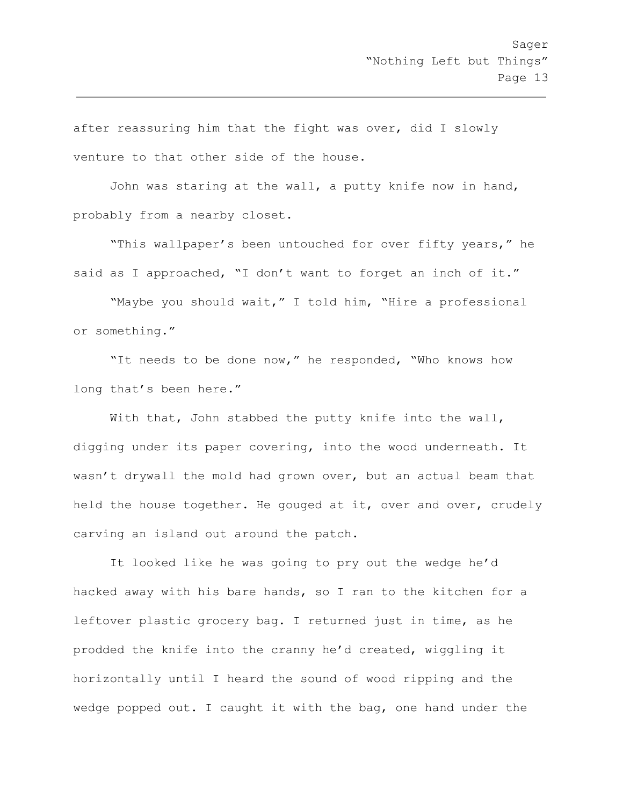after reassuring him that the fight was over, did I slowly venture to that other side of the house.

John was staring at the wall, a putty knife now in hand, probably from a nearby closet.

"This wallpaper's been untouched for over fifty years," he said as I approached, "I don't want to forget an inch of it."

"Maybe you should wait," I told him, "Hire a professional or something."

"It needs to be done now," he responded, "Who knows how long that's been here."

With that, John stabbed the putty knife into the wall, digging under its paper covering, into the wood underneath. It wasn't drywall the mold had grown over, but an actual beam that held the house together. He gouged at it, over and over, crudely carving an island out around the patch.

It looked like he was going to pry out the wedge he'd hacked away with his bare hands, so I ran to the kitchen for a leftover plastic grocery bag. I returned just in time, as he prodded the knife into the cranny he'd created, wiggling it horizontally until I heard the sound of wood ripping and the wedge popped out. I caught it with the bag, one hand under the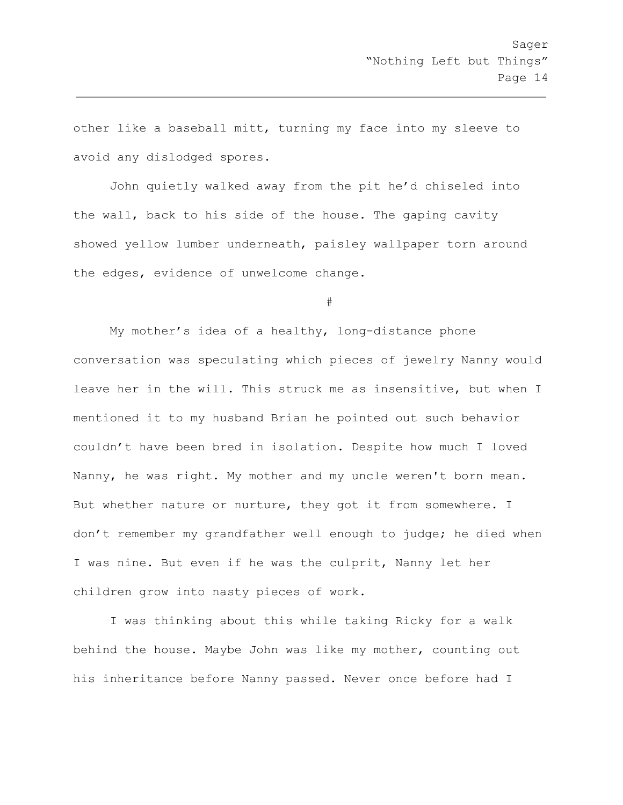other like a baseball mitt, turning my face into my sleeve to avoid any dislodged spores.

John quietly walked away from the pit he'd chiseled into the wall, back to his side of the house. The gaping cavity showed yellow lumber underneath, paisley wallpaper torn around the edges, evidence of unwelcome change.

#

My mother's idea of a healthy, long-distance phone conversation was speculating which pieces of jewelry Nanny would leave her in the will. This struck me as insensitive, but when I mentioned it to my husband Brian he pointed out such behavior couldn't have been bred in isolation. Despite how much I loved Nanny, he was right. My mother and my uncle weren't born mean. But whether nature or nurture, they got it from somewhere. I don't remember my grandfather well enough to judge; he died when I was nine. But even if he was the culprit, Nanny let her children grow into nasty pieces of work.

I was thinking about this while taking Ricky for a walk behind the house. Maybe John was like my mother, counting out his inheritance before Nanny passed. Never once before had I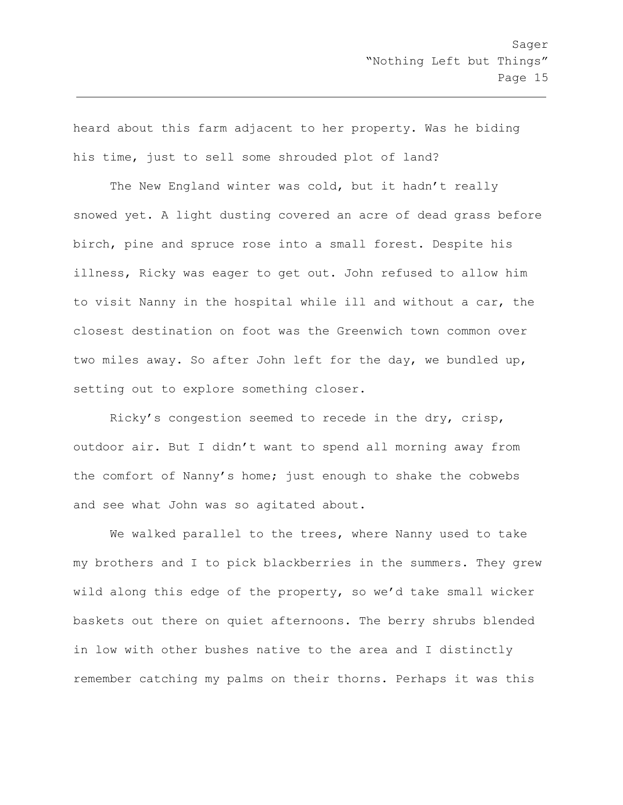heard about this farm adjacent to her property. Was he biding his time, just to sell some shrouded plot of land?

The New England winter was cold, but it hadn't really snowed yet. A light dusting covered an acre of dead grass before birch, pine and spruce rose into a small forest. Despite his illness, Ricky was eager to get out. John refused to allow him to visit Nanny in the hospital while ill and without a car, the closest destination on foot was the Greenwich town common over two miles away. So after John left for the day, we bundled up, setting out to explore something closer.

Ricky's congestion seemed to recede in the dry, crisp, outdoor air. But I didn't want to spend all morning away from the comfort of Nanny's home; just enough to shake the cobwebs and see what John was so agitated about.

We walked parallel to the trees, where Nanny used to take my brothers and I to pick blackberries in the summers. They grew wild along this edge of the property, so we'd take small wicker baskets out there on quiet afternoons. The berry shrubs blended in low with other bushes native to the area and I distinctly remember catching my palms on their thorns. Perhaps it was this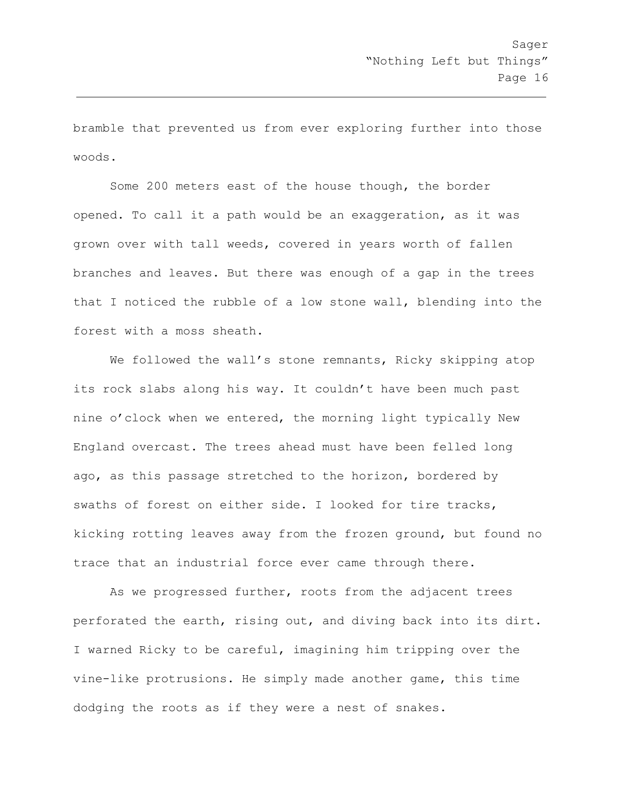bramble that prevented us from ever exploring further into those woods.

Some 200 meters east of the house though, the border opened. To call it a path would be an exaggeration, as it was grown over with tall weeds, covered in years worth of fallen branches and leaves. But there was enough of a gap in the trees that I noticed the rubble of a low stone wall, blending into the forest with a moss sheath.

We followed the wall's stone remnants, Ricky skipping atop its rock slabs along his way. It couldn't have been much past nine o'clock when we entered, the morning light typically New England overcast. The trees ahead must have been felled long ago, as this passage stretched to the horizon, bordered by swaths of forest on either side. I looked for tire tracks, kicking rotting leaves away from the frozen ground, but found no trace that an industrial force ever came through there.

As we progressed further, roots from the adjacent trees perforated the earth, rising out, and diving back into its dirt. I warned Ricky to be careful, imagining him tripping over the vine-like protrusions. He simply made another game, this time dodging the roots as if they were a nest of snakes.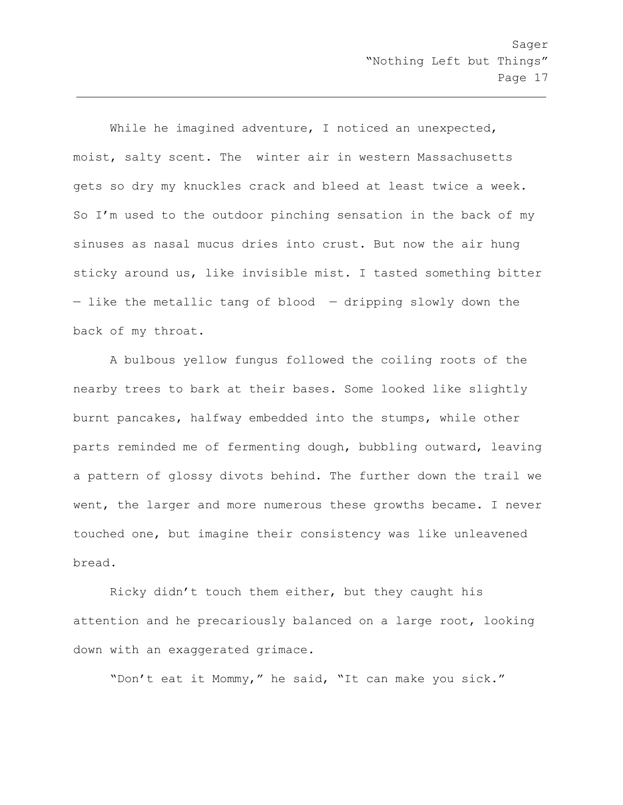While he imagined adventure, I noticed an unexpected, moist, salty scent. The winter air in western Massachusetts gets so dry my knuckles crack and bleed at least twice a week. So I'm used to the outdoor pinching sensation in the back of my sinuses as nasal mucus dries into crust. But now the air hung sticky around us, like invisible mist. I tasted something bitter — like the metallic tang of blood — dripping slowly down the back of my throat.

A bulbous yellow fungus followed the coiling roots of the nearby trees to bark at their bases. Some looked like slightly burnt pancakes, halfway embedded into the stumps, while other parts reminded me of fermenting dough, bubbling outward, leaving a pattern of glossy divots behind. The further down the trail we went, the larger and more numerous these growths became. I never touched one, but imagine their consistency was like unleavened bread.

Ricky didn't touch them either, but they caught his attention and he precariously balanced on a large root, looking down with an exaggerated grimace.

"Don't eat it Mommy," he said, "It can make you sick."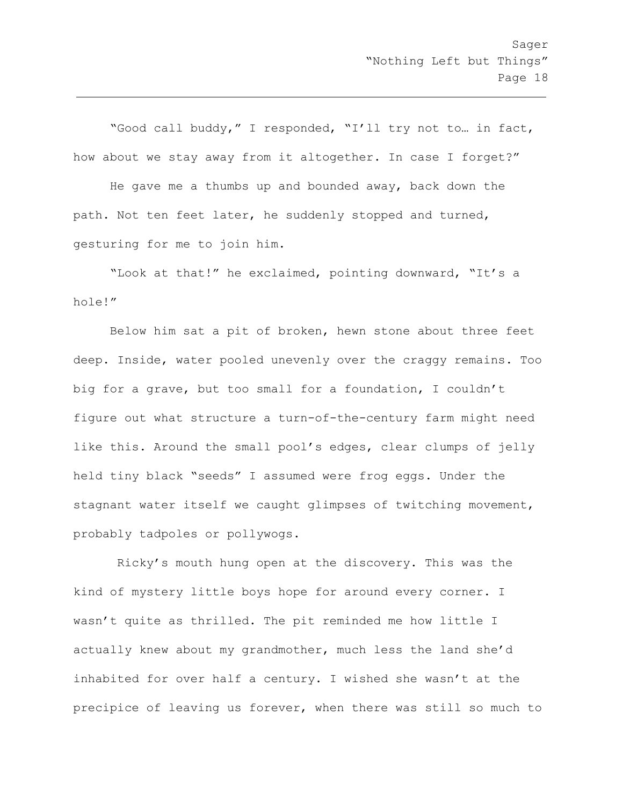"Good call buddy," I responded, "I'll try not to… in fact, how about we stay away from it altogether. In case I forget?"

He gave me a thumbs up and bounded away, back down the path. Not ten feet later, he suddenly stopped and turned, gesturing for me to join him.

"Look at that!" he exclaimed, pointing downward, "It's a hole!"

Below him sat a pit of broken, hewn stone about three feet deep. Inside, water pooled unevenly over the craggy remains. Too big for a grave, but too small for a foundation, I couldn't figure out what structure a turn-of-the-century farm might need like this. Around the small pool's edges, clear clumps of jelly held tiny black "seeds" I assumed were frog eggs. Under the stagnant water itself we caught glimpses of twitching movement, probably tadpoles or pollywogs.

 Ricky's mouth hung open at the discovery. This was the kind of mystery little boys hope for around every corner. I wasn't quite as thrilled. The pit reminded me how little I actually knew about my grandmother, much less the land she'd inhabited for over half a century. I wished she wasn't at the precipice of leaving us forever, when there was still so much to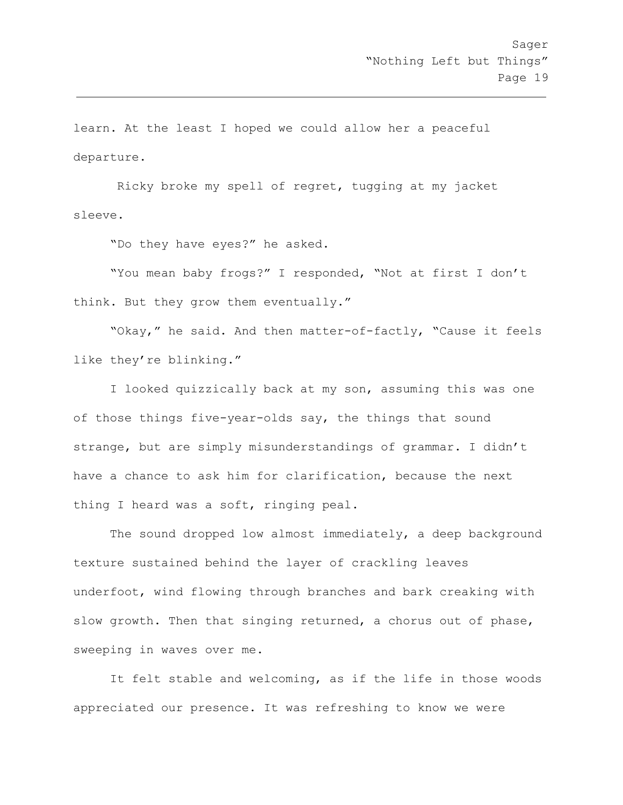learn. At the least I hoped we could allow her a peaceful departure.

 Ricky broke my spell of regret, tugging at my jacket sleeve.

"Do they have eyes?" he asked.

"You mean baby frogs?" I responded, "Not at first I don't think. But they grow them eventually."

"Okay," he said. And then matter-of-factly, "Cause it feels like they're blinking."

I looked quizzically back at my son, assuming this was one of those things five-year-olds say, the things that sound strange, but are simply misunderstandings of grammar. I didn't have a chance to ask him for clarification, because the next thing I heard was a soft, ringing peal.

The sound dropped low almost immediately, a deep background texture sustained behind the layer of crackling leaves underfoot, wind flowing through branches and bark creaking with slow growth. Then that singing returned, a chorus out of phase, sweeping in waves over me.

It felt stable and welcoming, as if the life in those woods appreciated our presence. It was refreshing to know we were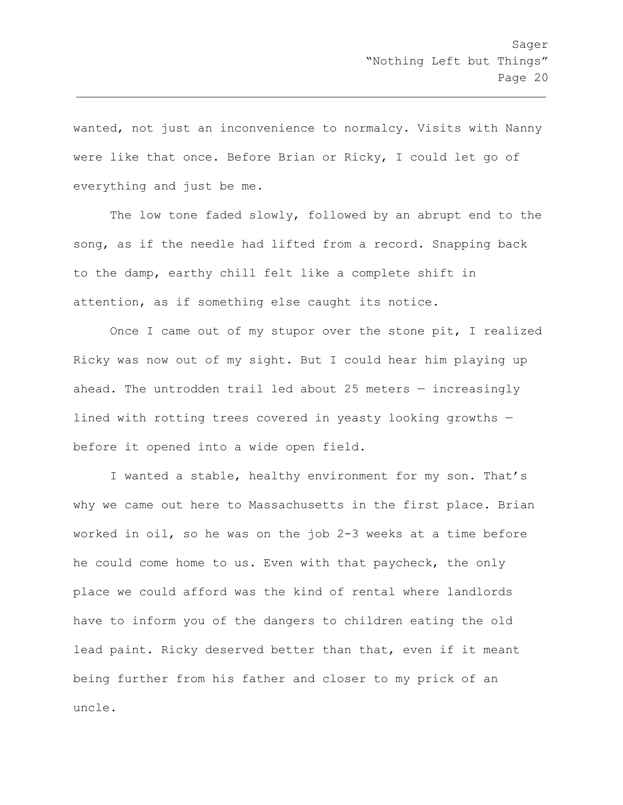wanted, not just an inconvenience to normalcy. Visits with Nanny were like that once. Before Brian or Ricky, I could let go of everything and just be me.

The low tone faded slowly, followed by an abrupt end to the song, as if the needle had lifted from a record. Snapping back to the damp, earthy chill felt like a complete shift in attention, as if something else caught its notice.

Once I came out of my stupor over the stone pit, I realized Ricky was now out of my sight. But I could hear him playing up ahead. The untrodden trail led about 25 meters — increasingly lined with rotting trees covered in yeasty looking growths before it opened into a wide open field.

I wanted a stable, healthy environment for my son. That's why we came out here to Massachusetts in the first place. Brian worked in oil, so he was on the job 2-3 weeks at a time before he could come home to us. Even with that paycheck, the only place we could afford was the kind of rental where landlords have to inform you of the dangers to children eating the old lead paint. Ricky deserved better than that, even if it meant being further from his father and closer to my prick of an uncle.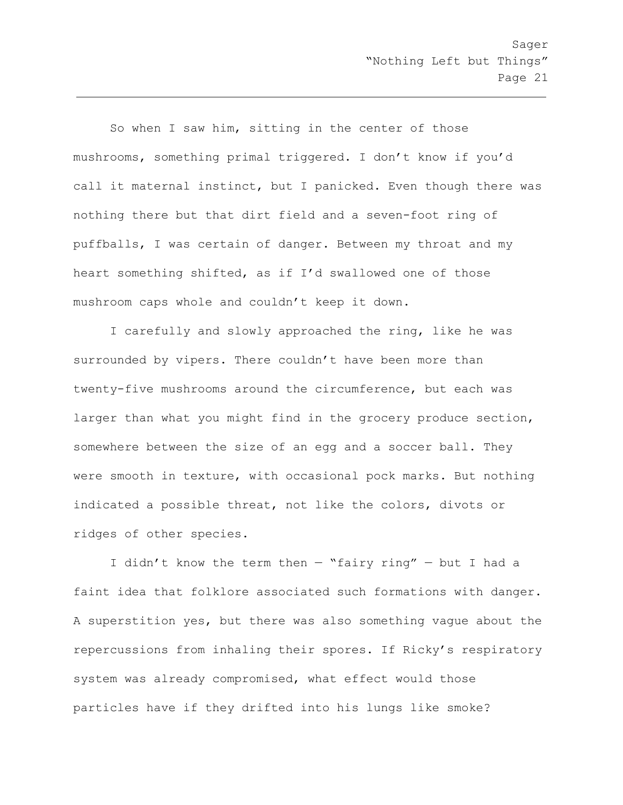So when I saw him, sitting in the center of those mushrooms, something primal triggered. I don't know if you'd call it maternal instinct, but I panicked. Even though there was nothing there but that dirt field and a seven-foot ring of puffballs, I was certain of danger. Between my throat and my heart something shifted, as if I'd swallowed one of those mushroom caps whole and couldn't keep it down.

I carefully and slowly approached the ring, like he was surrounded by vipers. There couldn't have been more than twenty-five mushrooms around the circumference, but each was larger than what you might find in the grocery produce section, somewhere between the size of an egg and a soccer ball. They were smooth in texture, with occasional pock marks. But nothing indicated a possible threat, not like the colors, divots or ridges of other species.

I didn't know the term then  $-$  "fairy ring"  $-$  but I had a faint idea that folklore associated such formations with danger. A superstition yes, but there was also something vague about the repercussions from inhaling their spores. If Ricky's respiratory system was already compromised, what effect would those particles have if they drifted into his lungs like smoke?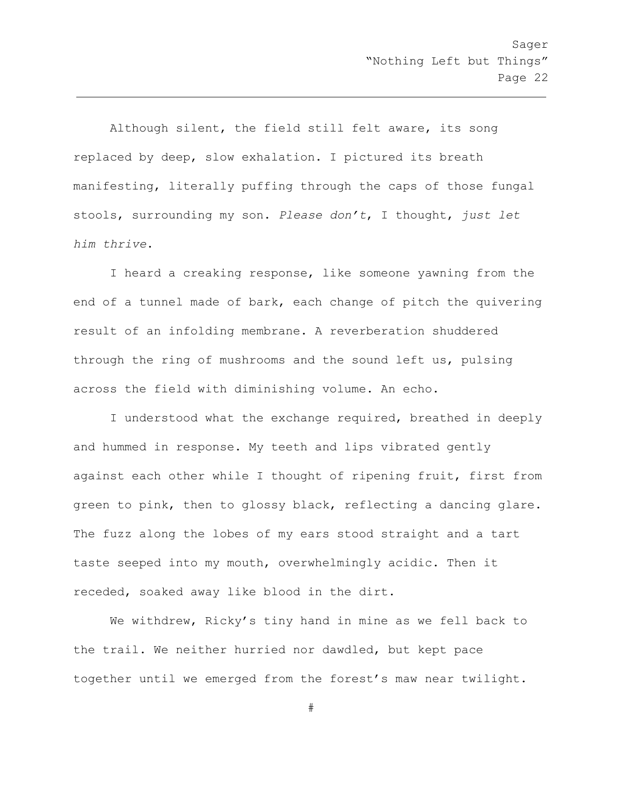Although silent, the field still felt aware, its song replaced by deep, slow exhalation. I pictured its breath manifesting, literally puffing through the caps of those fungal stools, surrounding my son. *Please don't*, I thought, *just let him thrive*.

I heard a creaking response, like someone yawning from the end of a tunnel made of bark, each change of pitch the quivering result of an infolding membrane. A reverberation shuddered through the ring of mushrooms and the sound left us, pulsing across the field with diminishing volume. An echo.

I understood what the exchange required, breathed in deeply and hummed in response. My teeth and lips vibrated gently against each other while I thought of ripening fruit, first from green to pink, then to glossy black, reflecting a dancing glare. The fuzz along the lobes of my ears stood straight and a tart taste seeped into my mouth, overwhelmingly acidic. Then it receded, soaked away like blood in the dirt.

We withdrew, Ricky's tiny hand in mine as we fell back to the trail. We neither hurried nor dawdled, but kept pace together until we emerged from the forest's maw near twilight.

#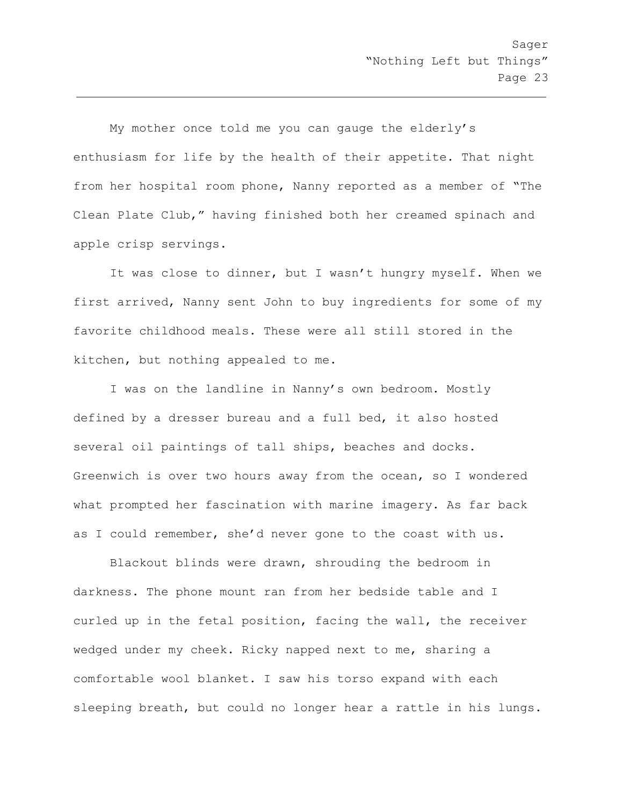My mother once told me you can gauge the elderly's enthusiasm for life by the health of their appetite. That night from her hospital room phone, Nanny reported as a member of "The Clean Plate Club," having finished both her creamed spinach and apple crisp servings.

It was close to dinner, but I wasn't hungry myself. When we first arrived, Nanny sent John to buy ingredients for some of my favorite childhood meals. These were all still stored in the kitchen, but nothing appealed to me.

I was on the landline in Nanny's own bedroom. Mostly defined by a dresser bureau and a full bed, it also hosted several oil paintings of tall ships, beaches and docks. Greenwich is over two hours away from the ocean, so I wondered what prompted her fascination with marine imagery. As far back as I could remember, she'd never gone to the coast with us.

Blackout blinds were drawn, shrouding the bedroom in darkness. The phone mount ran from her bedside table and I curled up in the fetal position, facing the wall, the receiver wedged under my cheek. Ricky napped next to me, sharing a comfortable wool blanket. I saw his torso expand with each sleeping breath, but could no longer hear a rattle in his lungs.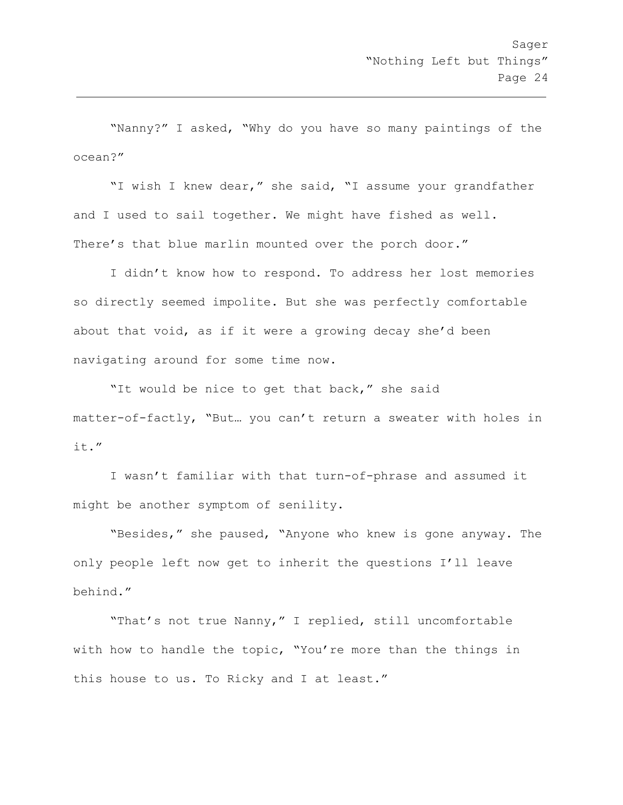"Nanny?" I asked, "Why do you have so many paintings of the ocean?"

"I wish I knew dear," she said, "I assume your grandfather and I used to sail together. We might have fished as well. There's that blue marlin mounted over the porch door."

I didn't know how to respond. To address her lost memories so directly seemed impolite. But she was perfectly comfortable about that void, as if it were a growing decay she'd been navigating around for some time now.

"It would be nice to get that back," she said matter-of-factly, "But… you can't return a sweater with holes in it."

I wasn't familiar with that turn-of-phrase and assumed it might be another symptom of senility.

"Besides," she paused, "Anyone who knew is gone anyway. The only people left now get to inherit the questions I'll leave behind."

"That's not true Nanny," I replied, still uncomfortable with how to handle the topic, "You're more than the things in this house to us. To Ricky and I at least."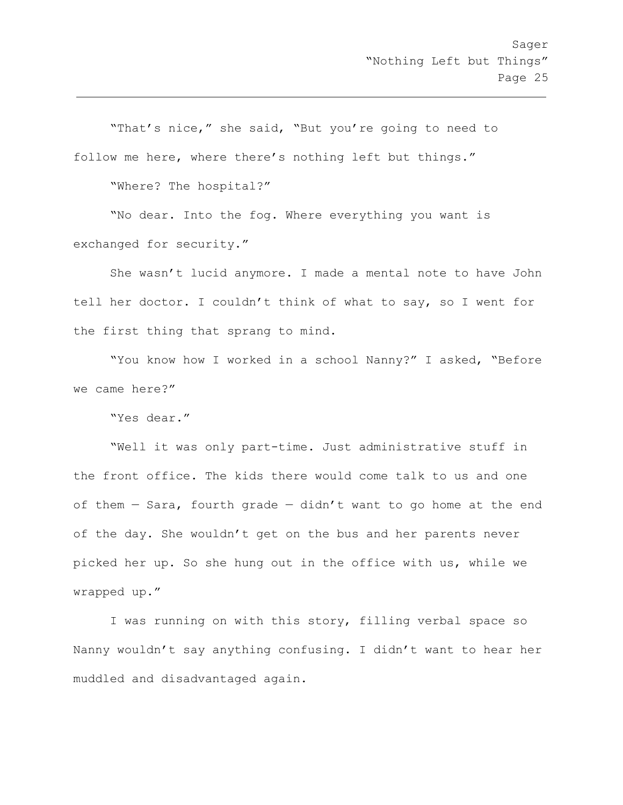"That's nice," she said, "But you're going to need to follow me here, where there's nothing left but things."

"Where? The hospital?"

"No dear. Into the fog. Where everything you want is exchanged for security."

She wasn't lucid anymore. I made a mental note to have John tell her doctor. I couldn't think of what to say, so I went for the first thing that sprang to mind.

"You know how I worked in a school Nanny?" I asked, "Before we came here?"

"Yes dear."

"Well it was only part-time. Just administrative stuff in the front office. The kids there would come talk to us and one of them  $-$  Sara, fourth grade  $-$  didn't want to go home at the end of the day. She wouldn't get on the bus and her parents never picked her up. So she hung out in the office with us, while we wrapped up."

I was running on with this story, filling verbal space so Nanny wouldn't say anything confusing. I didn't want to hear her muddled and disadvantaged again.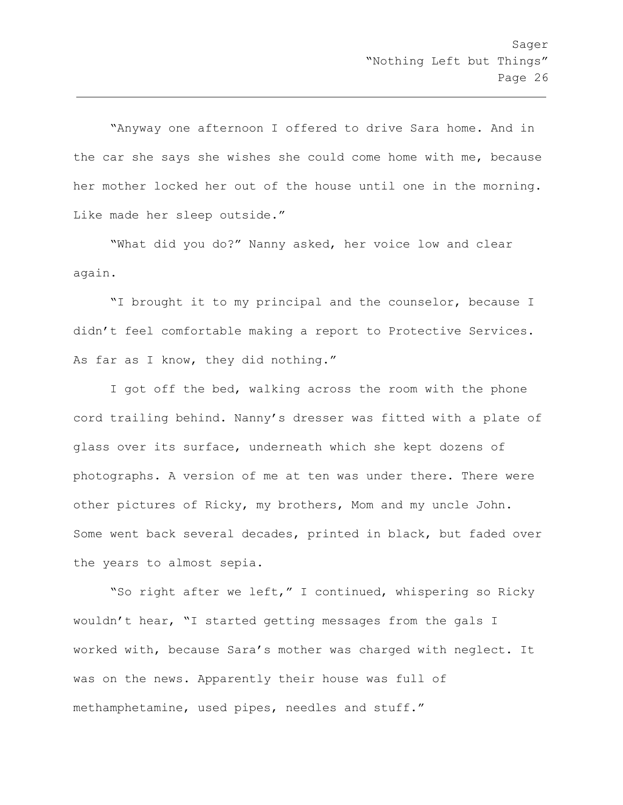"Anyway one afternoon I offered to drive Sara home. And in the car she says she wishes she could come home with me, because her mother locked her out of the house until one in the morning. Like made her sleep outside."

"What did you do?" Nanny asked, her voice low and clear again.

"I brought it to my principal and the counselor, because I didn't feel comfortable making a report to Protective Services. As far as I know, they did nothing."

I got off the bed, walking across the room with the phone cord trailing behind. Nanny's dresser was fitted with a plate of glass over its surface, underneath which she kept dozens of photographs. A version of me at ten was under there. There were other pictures of Ricky, my brothers, Mom and my uncle John. Some went back several decades, printed in black, but faded over the years to almost sepia.

"So right after we left," I continued, whispering so Ricky wouldn't hear, "I started getting messages from the gals I worked with, because Sara's mother was charged with neglect. It was on the news. Apparently their house was full of methamphetamine, used pipes, needles and stuff."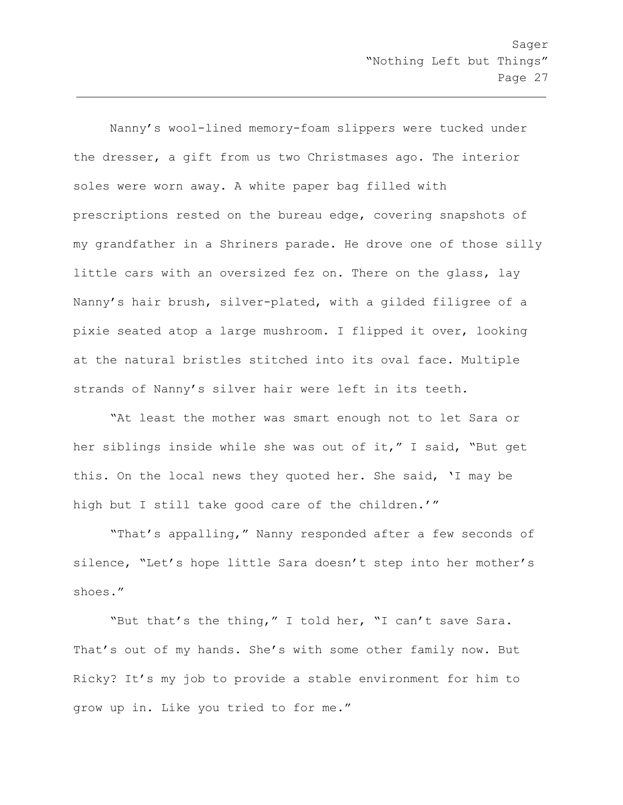Nanny's wool-lined memory-foam slippers were tucked under the dresser, a gift from us two Christmases ago. The interior soles were worn away. A white paper bag filled with prescriptions rested on the bureau edge, covering snapshots of my grandfather in a Shriners parade. He drove one of those silly little cars with an oversized fez on. There on the glass, lay Nanny's hair brush, silver-plated, with a gilded filigree of a pixie seated atop a large mushroom. I flipped it over, looking at the natural bristles stitched into its oval face. Multiple strands of Nanny's silver hair were left in its teeth.

"At least the mother was smart enough not to let Sara or her siblings inside while she was out of it," I said, "But get this. On the local news they quoted her. She said, 'I may be high but I still take good care of the children.'"

"That's appalling," Nanny responded after a few seconds of silence, "Let's hope little Sara doesn't step into her mother's shoes."

"But that's the thing," I told her, "I can't save Sara. That's out of my hands. She's with some other family now. But Ricky? It's my job to provide a stable environment for him to grow up in. Like you tried to for me."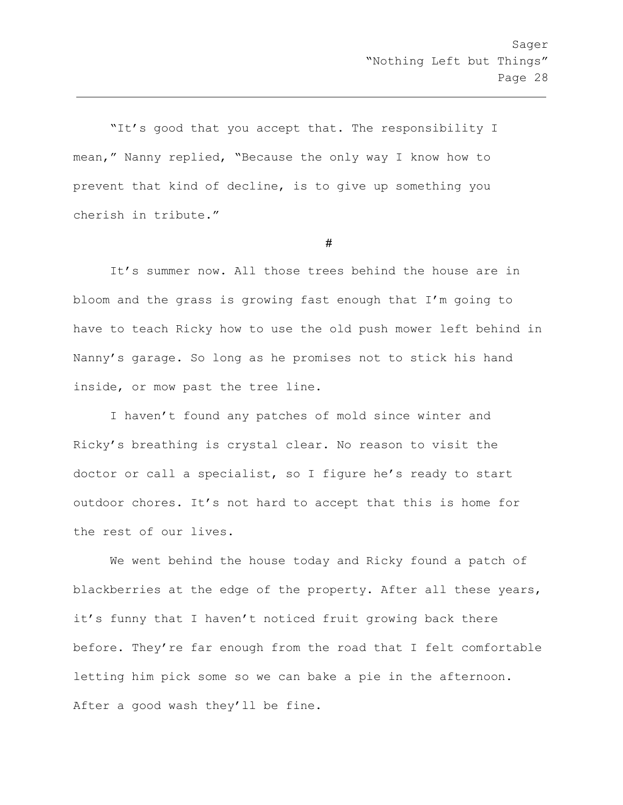"It's good that you accept that. The responsibility I mean," Nanny replied, "Because the only way I know how to prevent that kind of decline, is to give up something you cherish in tribute."

#

It's summer now. All those trees behind the house are in bloom and the grass is growing fast enough that I'm going to have to teach Ricky how to use the old push mower left behind in Nanny's garage. So long as he promises not to stick his hand inside, or mow past the tree line.

I haven't found any patches of mold since winter and Ricky's breathing is crystal clear. No reason to visit the doctor or call a specialist, so I figure he's ready to start outdoor chores. It's not hard to accept that this is home for the rest of our lives.

We went behind the house today and Ricky found a patch of blackberries at the edge of the property. After all these years, it's funny that I haven't noticed fruit growing back there before. They're far enough from the road that I felt comfortable letting him pick some so we can bake a pie in the afternoon. After a good wash they'll be fine.